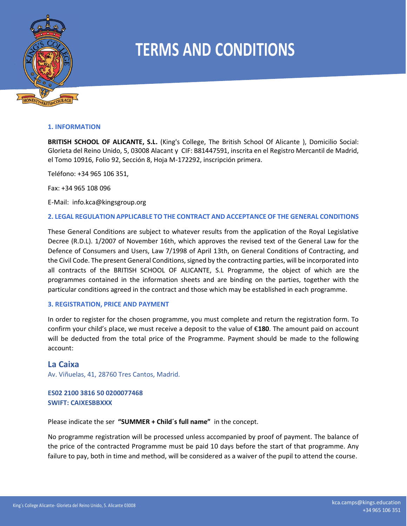

#### **1. INFORMATION**

**BRITISH SCHOOL OF ALICANTE, S.L.** (King's College, The British School Of Alicante ), Domicilio Social: Glorieta del Reino Unido, 5, 03008 Alacant y CIF: B81447591, inscrita en el Registro Mercantil de Madrid, el Tomo 10916, Folio 92, Sección 8, Hoja M-172292, inscripción primera.

Teléfono: +34 965 106 351,

Fax: +34 965 108 096

E-Mail: info.kca@kingsgroup.org

### **2. LEGAL REGULATION APPLICABLE TO THE CONTRACT AND ACCEPTANCE OF THE GENERAL CONDITIONS**

These General Conditions are subject to whatever results from the application of the Royal Legislative Decree (R.D.L). 1/2007 of November 16th, which approves the revised text of the General Law for the Defence of Consumers and Users, Law 7/1998 of April 13th, on General Conditions of Contracting, and the Civil Code. The present General Conditions, signed by the contracting parties, will be incorporated into all contracts of the BRITISH SCHOOL OF ALICANTE, S.L Programme, the object of which are the programmes contained in the information sheets and are binding on the parties, together with the particular conditions agreed in the contract and those which may be established in each programme.

### **3. REGISTRATION, PRICE AND PAYMENT**

In order to register for the chosen programme, you must complete and return the registration form. To confirm your child's place, we must receive a deposit to the value of €**180**. The amount paid on account will be deducted from the total price of the Programme. Payment should be made to the following account:

# **La Caixa**

Av. Viñuelas, 41, 28760 Tres Cantos, Madrid.

# **ES02 2100 3816 50 0200077468 SWIFT: CAIXESBBXXX**

Please indicate the ser **"SUMMER + Child´s full name"** in the concept.

No programme registration will be processed unless accompanied by proof of payment. The balance of the price of the contracted Programme must be paid 10 days before the start of that programme. Any failure to pay, both in time and method, will be considered as a waiver of the pupil to attend the course.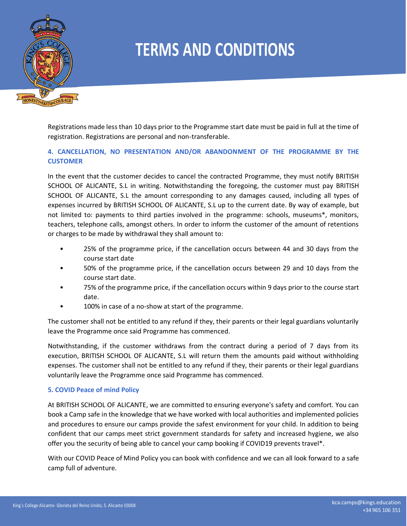

Registrations made less than 10 days prior to the Programme start date must be paid in full at the time of registration. Registrations are personal and non-transferable.

# **4. CANCELLATION, NO PRESENTATION AND/OR ABANDONMENT OF THE PROGRAMME BY THE CUSTOMER**

In the event that the customer decides to cancel the contracted Programme, they must notify BRITISH SCHOOL OF ALICANTE, S.L in writing. Notwithstanding the foregoing, the customer must pay BRITISH SCHOOL OF ALICANTE, S.L the amount corresponding to any damages caused, including all types of expenses incurred by BRITISH SCHOOL OF ALICANTE, S.L up to the current date. By way of example, but not limited to: payments to third parties involved in the programme: schools, museums\*, monitors, teachers, telephone calls, amongst others. In order to inform the customer of the amount of retentions or charges to be made by withdrawal they shall amount to:

- 25% of the programme price, if the cancellation occurs between 44 and 30 days from the course start date
- 50% of the programme price, if the cancellation occurs between 29 and 10 days from the course start date.
- 75% of the programme price, if the cancellation occurs within 9 days prior to the course start date.
- 100% in case of a no-show at start of the programme.

The customer shall not be entitled to any refund if they, their parents or their legal guardians voluntarily leave the Programme once said Programme has commenced.

Notwithstanding, if the customer withdraws from the contract during a period of 7 days from its execution, BRITISH SCHOOL OF ALICANTE, S.L will return them the amounts paid without withholding expenses. The customer shall not be entitled to any refund if they, their parents or their legal guardians voluntarily leave the Programme once said Programme has commenced.

# **5. COVID Peace of mind Policy**

At BRITISH SCHOOL OF ALICANTE, we are committed to ensuring everyone's safety and comfort. You can book a Camp safe in the knowledge that we have worked with local authorities and implemented policies and procedures to ensure our camps provide the safest environment for your child. In addition to being confident that our camps meet strict government standards for safety and increased hygiene, we also offer you the security of being able to cancel your camp booking if COVID19 prevents travel\*.

With our COVID Peace of Mind Policy you can book with confidence and we can all look forward to a safe camp full of adventure.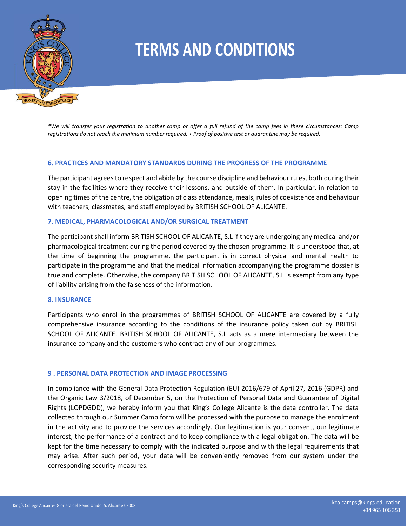

*\*We will transfer your registration to another camp or offer a full refund of the camp fees in these circumstances: Camp registrations do not reach the minimum number required. † Proof of positive test or quarantine may be required.*

### **6. PRACTICES AND MANDATORY STANDARDS DURING THE PROGRESS OF THE PROGRAMME**

The participant agrees to respect and abide by the course discipline and behaviour rules, both during their stay in the facilities where they receive their lessons, and outside of them. In particular, in relation to opening times of the centre, the obligation of class attendance, meals, rules of coexistence and behaviour with teachers, classmates, and staff employed by BRITISH SCHOOL OF ALICANTE.

### **7. MEDICAL, PHARMACOLOGICAL AND/OR SURGICAL TREATMENT**

The participant shall inform BRITISH SCHOOL OF ALICANTE, S.L if they are undergoing any medical and/or pharmacological treatment during the period covered by the chosen programme. It is understood that, at the time of beginning the programme, the participant is in correct physical and mental health to participate in the programme and that the medical information accompanying the programme dossier is true and complete. Otherwise, the company BRITISH SCHOOL OF ALICANTE, S.L is exempt from any type of liability arising from the falseness of the information.

### **8. INSURANCE**

Participants who enrol in the programmes of BRITISH SCHOOL OF ALICANTE are covered by a fully comprehensive insurance according to the conditions of the insurance policy taken out by BRITISH SCHOOL OF ALICANTE. BRITISH SCHOOL OF ALICANTE, S.L acts as a mere intermediary between the insurance company and the customers who contract any of our programmes.

### **9 . PERSONAL DATA PROTECTION AND IMAGE PROCESSING**

In compliance with the General Data Protection Regulation (EU) 2016/679 of April 27, 2016 (GDPR) and the Organic Law 3/2018, of December 5, on the Protection of Personal Data and Guarantee of Digital Rights (LOPDGDD), we hereby inform you that King's College Alicante is the data controller. The data collected through our Summer Camp form will be processed with the purpose to manage the enrolment in the activity and to provide the services accordingly. Our legitimation is your consent, our legitimate interest, the performance of a contract and to keep compliance with a legal obligation. The data will be kept for the time necessary to comply with the indicated purpose and with the legal requirements that may arise. After such period, your data will be conveniently removed from our system under the corresponding security measures.